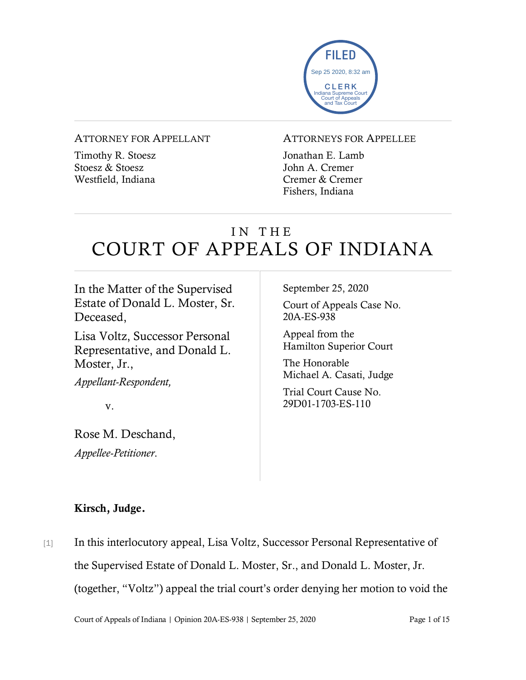

#### ATTORNEY FOR APPELLANT

Timothy R. Stoesz Stoesz & Stoesz Westfield, Indiana

#### ATTORNEYS FOR APPELLEE

Jonathan E. Lamb John A. Cremer Cremer & Cremer Fishers, Indiana

# IN THE COURT OF APPEALS OF INDIANA

In the Matter of the Supervised Estate of Donald L. Moster, Sr. Deceased,

Lisa Voltz, Successor Personal Representative, and Donald L. Moster, Jr.,

*Appellant-Respondent,*

v.

Rose M. Deschand, *Appellee-Petitioner*.

September 25, 2020

Court of Appeals Case No. 20A-ES-938

Appeal from the Hamilton Superior Court

The Honorable Michael A. Casati, Judge

Trial Court Cause No. 29D01-1703-ES-110

## Kirsch, Judge.

[1] In this interlocutory appeal, Lisa Voltz, Successor Personal Representative of the Supervised Estate of Donald L. Moster, Sr., and Donald L. Moster, Jr. (together, "Voltz") appeal the trial court's order denying her motion to void the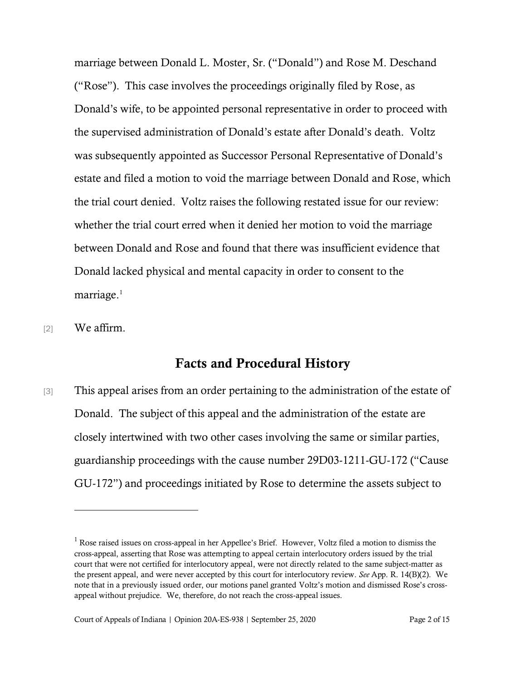marriage between Donald L. Moster, Sr. ("Donald") and Rose M. Deschand ("Rose"). This case involves the proceedings originally filed by Rose, as Donald's wife, to be appointed personal representative in order to proceed with the supervised administration of Donald's estate after Donald's death. Voltz was subsequently appointed as Successor Personal Representative of Donald's estate and filed a motion to void the marriage between Donald and Rose, which the trial court denied. Voltz raises the following restated issue for our review: whether the trial court erred when it denied her motion to void the marriage between Donald and Rose and found that there was insufficient evidence that Donald lacked physical and mental capacity in order to consent to the marriage. $1$ 

[2] We affirm.

## Facts and Procedural History

[3] This appeal arises from an order pertaining to the administration of the estate of Donald. The subject of this appeal and the administration of the estate are closely intertwined with two other cases involving the same or similar parties, guardianship proceedings with the cause number 29D03-1211-GU-172 ("Cause GU-172") and proceedings initiated by Rose to determine the assets subject to

 $<sup>1</sup>$  Rose raised issues on cross-appeal in her Appellee's Brief. However, Voltz filed a motion to dismiss the</sup> cross-appeal, asserting that Rose was attempting to appeal certain interlocutory orders issued by the trial court that were not certified for interlocutory appeal, were not directly related to the same subject-matter as the present appeal, and were never accepted by this court for interlocutory review. *See* App. R. 14(B)(2). We note that in a previously issued order, our motions panel granted Voltz's motion and dismissed Rose's crossappeal without prejudice. We, therefore, do not reach the cross-appeal issues.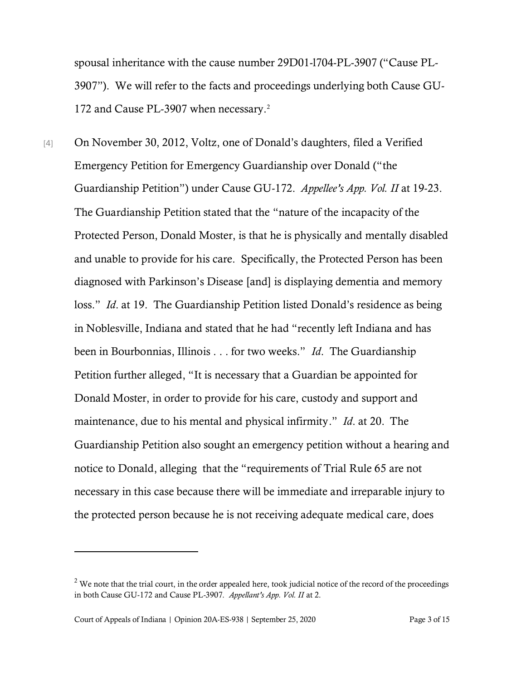spousal inheritance with the cause number 29D01-l704-PL-3907 ("Cause PL-3907"). We will refer to the facts and proceedings underlying both Cause GU-172 and Cause PL-3907 when necessary.<sup>2</sup>

[4] On November 30, 2012, Voltz, one of Donald's daughters, filed a Verified Emergency Petition for Emergency Guardianship over Donald ("the Guardianship Petition") under Cause GU-172. *Appellee's App. Vol. II* at 19-23. The Guardianship Petition stated that the "nature of the incapacity of the Protected Person, Donald Moster, is that he is physically and mentally disabled and unable to provide for his care. Specifically, the Protected Person has been diagnosed with Parkinson's Disease [and] is displaying dementia and memory loss." *Id*. at 19. The Guardianship Petition listed Donald's residence as being in Noblesville, Indiana and stated that he had "recently left Indiana and has been in Bourbonnias, Illinois . . . for two weeks." *Id*. The Guardianship Petition further alleged, "It is necessary that a Guardian be appointed for Donald Moster, in order to provide for his care, custody and support and maintenance, due to his mental and physical infirmity." *Id*. at 20. The Guardianship Petition also sought an emergency petition without a hearing and notice to Donald, alleging that the "requirements of Trial Rule 65 are not necessary in this case because there will be immediate and irreparable injury to the protected person because he is not receiving adequate medical care, does

 $2$  We note that the trial court, in the order appealed here, took judicial notice of the record of the proceedings in both Cause GU-172 and Cause PL-3907. *Appellant's App. Vol. II* at 2.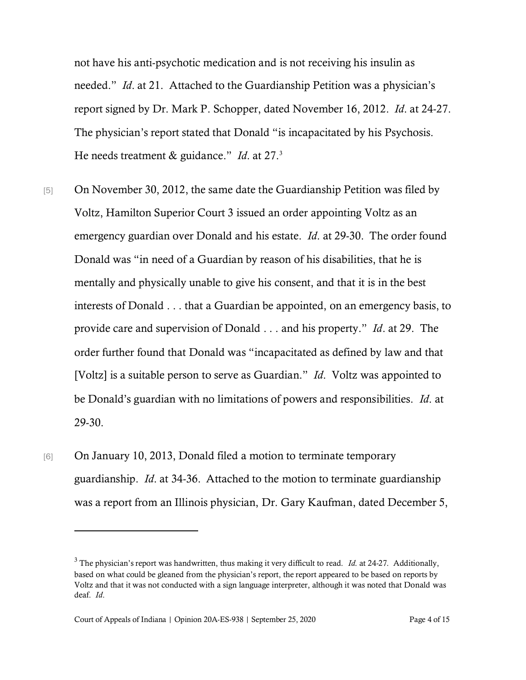not have his anti-psychotic medication and is not receiving his insulin as needed." *Id*. at 21. Attached to the Guardianship Petition was a physician's report signed by Dr. Mark P. Schopper, dated November 16, 2012. *Id*. at 24-27. The physician's report stated that Donald "is incapacitated by his Psychosis. He needs treatment & guidance." *Id*. at 27.<sup>3</sup>

- [5] On November 30, 2012, the same date the Guardianship Petition was filed by Voltz, Hamilton Superior Court 3 issued an order appointing Voltz as an emergency guardian over Donald and his estate. *Id*. at 29-30. The order found Donald was "in need of a Guardian by reason of his disabilities, that he is mentally and physically unable to give his consent, and that it is in the best interests of Donald . . . that a Guardian be appointed, on an emergency basis, to provide care and supervision of Donald . . . and his property." *Id*. at 29. The order further found that Donald was "incapacitated as defined by law and that [Voltz] is a suitable person to serve as Guardian." *Id*. Voltz was appointed to be Donald's guardian with no limitations of powers and responsibilities. *Id*. at 29-30.
- [6] On January 10, 2013, Donald filed a motion to terminate temporary guardianship. *Id*. at 34-36. Attached to the motion to terminate guardianship was a report from an Illinois physician, Dr. Gary Kaufman, dated December 5,

<sup>3</sup> The physician's report was handwritten, thus making it very difficult to read. *Id*. at 24-27. Additionally, based on what could be gleaned from the physician's report, the report appeared to be based on reports by Voltz and that it was not conducted with a sign language interpreter, although it was noted that Donald was deaf. *Id*.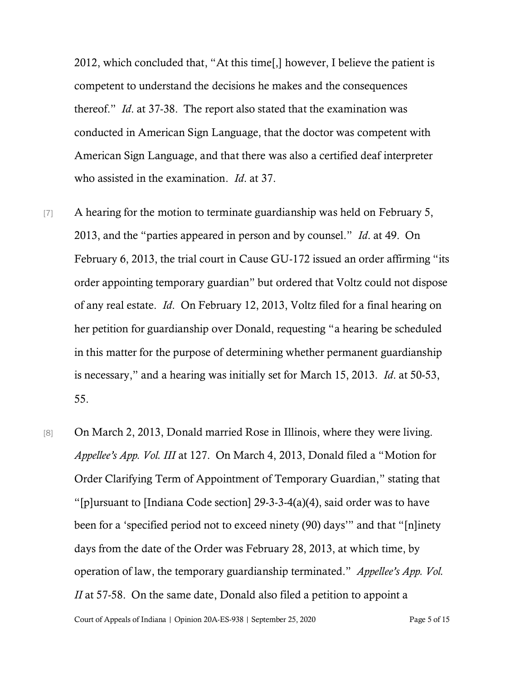2012, which concluded that, "At this time[,] however, I believe the patient is competent to understand the decisions he makes and the consequences thereof." *Id*. at 37-38. The report also stated that the examination was conducted in American Sign Language, that the doctor was competent with American Sign Language, and that there was also a certified deaf interpreter who assisted in the examination. *Id*. at 37.

- [7] A hearing for the motion to terminate guardianship was held on February 5, 2013, and the "parties appeared in person and by counsel." *Id*. at 49. On February 6, 2013, the trial court in Cause GU-172 issued an order affirming "its order appointing temporary guardian" but ordered that Voltz could not dispose of any real estate. *Id*. On February 12, 2013, Voltz filed for a final hearing on her petition for guardianship over Donald, requesting "a hearing be scheduled in this matter for the purpose of determining whether permanent guardianship is necessary," and a hearing was initially set for March 15, 2013. *Id*. at 50-53, 55.
- Court of Appeals of Indiana | Opinion 20A-ES-938 | September 25, 2020 Page 5 of 15 [8] On March 2, 2013, Donald married Rose in Illinois, where they were living. *Appellee's App. Vol. III* at 127. On March 4, 2013, Donald filed a "Motion for Order Clarifying Term of Appointment of Temporary Guardian," stating that "[p]ursuant to [Indiana Code section] 29-3-3-4(a)(4), said order was to have been for a 'specified period not to exceed ninety (90) days'" and that "[n]inety days from the date of the Order was February 28, 2013, at which time, by operation of law, the temporary guardianship terminated." *Appellee's App. Vol. II* at 57-58. On the same date, Donald also filed a petition to appoint a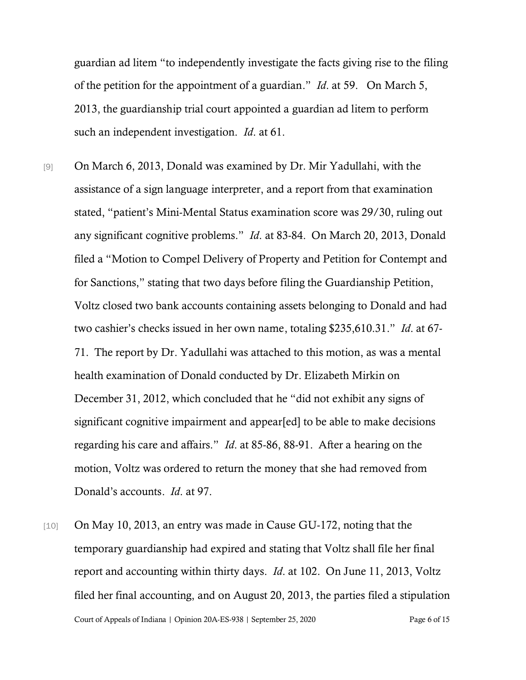guardian ad litem "to independently investigate the facts giving rise to the filing of the petition for the appointment of a guardian." *Id*. at 59. On March 5, 2013, the guardianship trial court appointed a guardian ad litem to perform such an independent investigation. *Id*. at 61.

- [9] On March 6, 2013, Donald was examined by Dr. Mir Yadullahi, with the assistance of a sign language interpreter, and a report from that examination stated, "patient's Mini-Mental Status examination score was 29/30, ruling out any significant cognitive problems." *Id*. at 83-84. On March 20, 2013, Donald filed a "Motion to Compel Delivery of Property and Petition for Contempt and for Sanctions," stating that two days before filing the Guardianship Petition, Voltz closed two bank accounts containing assets belonging to Donald and had two cashier's checks issued in her own name, totaling \$235,610.31." *Id*. at 67- 71. The report by Dr. Yadullahi was attached to this motion, as was a mental health examination of Donald conducted by Dr. Elizabeth Mirkin on December 31, 2012, which concluded that he "did not exhibit any signs of significant cognitive impairment and appear[ed] to be able to make decisions regarding his care and affairs." *Id*. at 85-86, 88-91. After a hearing on the motion, Voltz was ordered to return the money that she had removed from Donald's accounts. *Id*. at 97.
- Court of Appeals of Indiana | Opinion 20A-ES-938 | September 25, 2020 Page 6 of 15 [10] On May 10, 2013, an entry was made in Cause GU-172, noting that the temporary guardianship had expired and stating that Voltz shall file her final report and accounting within thirty days. *Id*. at 102. On June 11, 2013, Voltz filed her final accounting, and on August 20, 2013, the parties filed a stipulation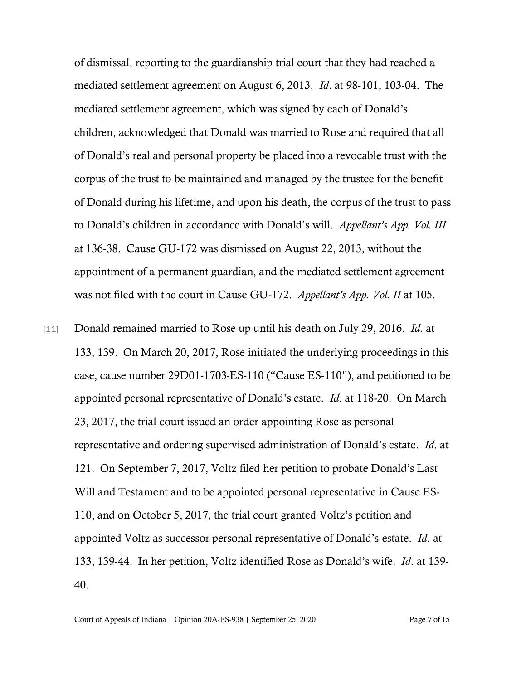of dismissal, reporting to the guardianship trial court that they had reached a mediated settlement agreement on August 6, 2013. *Id*. at 98-101, 103-04. The mediated settlement agreement, which was signed by each of Donald's children, acknowledged that Donald was married to Rose and required that all of Donald's real and personal property be placed into a revocable trust with the corpus of the trust to be maintained and managed by the trustee for the benefit of Donald during his lifetime, and upon his death, the corpus of the trust to pass to Donald's children in accordance with Donald's will. *Appellant's App. Vol. III* at 136-38. Cause GU-172 was dismissed on August 22, 2013, without the appointment of a permanent guardian, and the mediated settlement agreement was not filed with the court in Cause GU-172. *Appellant's App. Vol. II* at 105.

[11] Donald remained married to Rose up until his death on July 29, 2016. *Id*. at 133, 139. On March 20, 2017, Rose initiated the underlying proceedings in this case, cause number 29D01-1703-ES-110 ("Cause ES-110"), and petitioned to be appointed personal representative of Donald's estate. *Id*. at 118-20. On March 23, 2017, the trial court issued an order appointing Rose as personal representative and ordering supervised administration of Donald's estate. *Id*. at 121. On September 7, 2017, Voltz filed her petition to probate Donald's Last Will and Testament and to be appointed personal representative in Cause ES-110, and on October 5, 2017, the trial court granted Voltz's petition and appointed Voltz as successor personal representative of Donald's estate. *Id*. at 133, 139-44. In her petition, Voltz identified Rose as Donald's wife. *Id*. at 139- 40.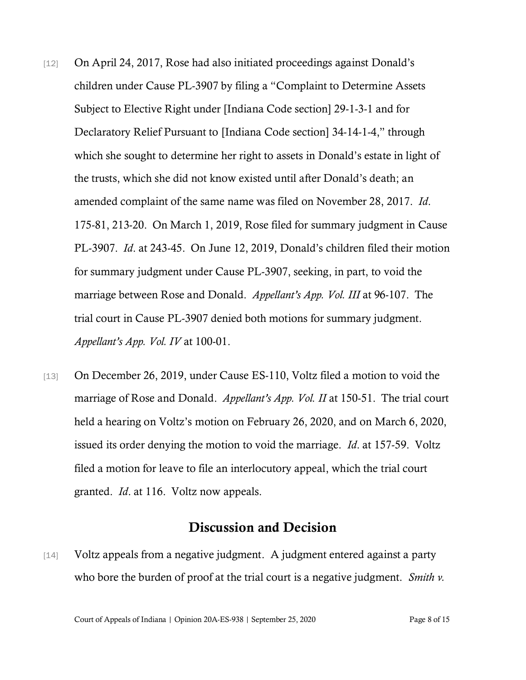- [12] On April 24, 2017, Rose had also initiated proceedings against Donald's children under Cause PL-3907 by filing a "Complaint to Determine Assets Subject to Elective Right under [Indiana Code section] 29-1-3-1 and for Declaratory Relief Pursuant to [Indiana Code section] 34-14-1-4," through which she sought to determine her right to assets in Donald's estate in light of the trusts, which she did not know existed until after Donald's death; an amended complaint of the same name was filed on November 28, 2017. *Id*. 175-81, 213-20. On March 1, 2019, Rose filed for summary judgment in Cause PL-3907. *Id*. at 243-45. On June 12, 2019, Donald's children filed their motion for summary judgment under Cause PL-3907, seeking, in part, to void the marriage between Rose and Donald. *Appellant's App. Vol. III* at 96-107. The trial court in Cause PL-3907 denied both motions for summary judgment. *Appellant's App. Vol. IV* at 100-01.
- [13] On December 26, 2019, under Cause ES-110, Voltz filed a motion to void the marriage of Rose and Donald. *Appellant's App. Vol. II* at 150-51. The trial court held a hearing on Voltz's motion on February 26, 2020, and on March 6, 2020, issued its order denying the motion to void the marriage. *Id*. at 157-59. Voltz filed a motion for leave to file an interlocutory appeal, which the trial court granted. *Id*. at 116. Voltz now appeals.

## Discussion and Decision

[14] Voltz appeals from a negative judgment. A judgment entered against a party who bore the burden of proof at the trial court is a negative judgment. *Smith v.*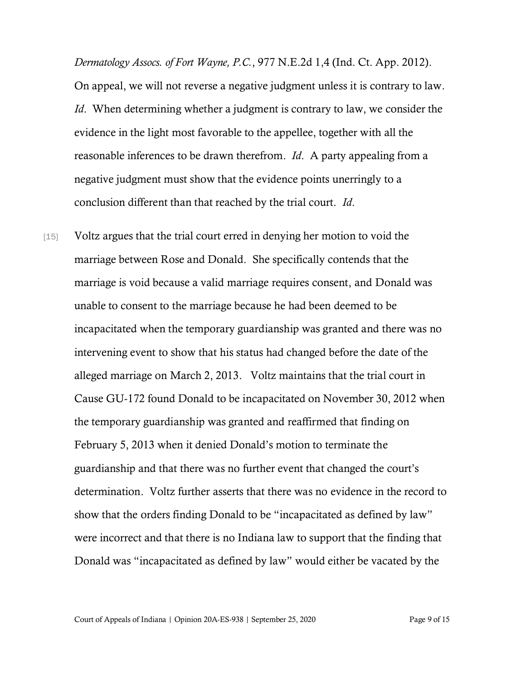*Dermatology Assocs. of Fort Wayne, P.C.*, 977 N.E.2d 1,4 (Ind. Ct. App. 2012). On appeal, we will not reverse a negative judgment unless it is contrary to law. *Id*. When determining whether a judgment is contrary to law, we consider the evidence in the light most favorable to the appellee, together with all the reasonable inferences to be drawn therefrom. *Id*. A party appealing from a negative judgment must show that the evidence points unerringly to a conclusion different than that reached by the trial court. *Id*.

[15] Voltz argues that the trial court erred in denying her motion to void the marriage between Rose and Donald. She specifically contends that the marriage is void because a valid marriage requires consent, and Donald was unable to consent to the marriage because he had been deemed to be incapacitated when the temporary guardianship was granted and there was no intervening event to show that his status had changed before the date of the alleged marriage on March 2, 2013. Voltz maintains that the trial court in Cause GU-172 found Donald to be incapacitated on November 30, 2012 when the temporary guardianship was granted and reaffirmed that finding on February 5, 2013 when it denied Donald's motion to terminate the guardianship and that there was no further event that changed the court's determination. Voltz further asserts that there was no evidence in the record to show that the orders finding Donald to be "incapacitated as defined by law" were incorrect and that there is no Indiana law to support that the finding that Donald was "incapacitated as defined by law" would either be vacated by the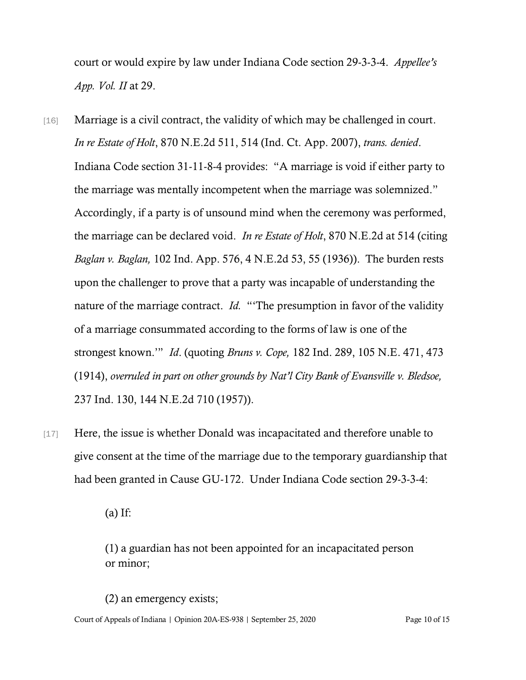court or would expire by law under Indiana Code section 29-3-3-4. *Appellee's App. Vol. II* at 29.

- [16] Marriage is a civil contract, the validity of which may be challenged in court. *In re Estate of Holt*, 870 N.E.2d 511, 514 (Ind. Ct. App. 2007), *trans. denied*. Indiana Code section 31-11-8-4 provides: "A marriage is void if either party to the marriage was mentally incompetent when the marriage was solemnized." Accordingly, if a party is of unsound mind when the ceremony was performed, the marriage can be declared void. *In re Estate of Holt*, 870 N.E.2d at 514 (citing *Baglan v. Baglan,* 102 Ind. App. 576, 4 N.E.2d 53, 55 (1936)). The burden rests upon the challenger to prove that a party was incapable of understanding the nature of the marriage contract. *Id.* "'The presumption in favor of the validity of a marriage consummated according to the forms of law is one of the strongest known.'" *Id*. (quoting *Bruns v. Cope,* 182 Ind. 289, 105 N.E. 471, 473 (1914), *overruled in part on other grounds by Nat'l City Bank of Evansville v. Bledsoe,* 237 Ind. 130, 144 N.E.2d 710 (1957)).
- [17] Here, the issue is whether Donald was incapacitated and therefore unable to give consent at the time of the marriage due to the temporary guardianship that had been granted in Cause GU-172. Under Indiana Code section 29-3-3-4:

(a) If:

(1) a guardian has not been appointed for an incapacitated person or minor;

(2) an emergency exists;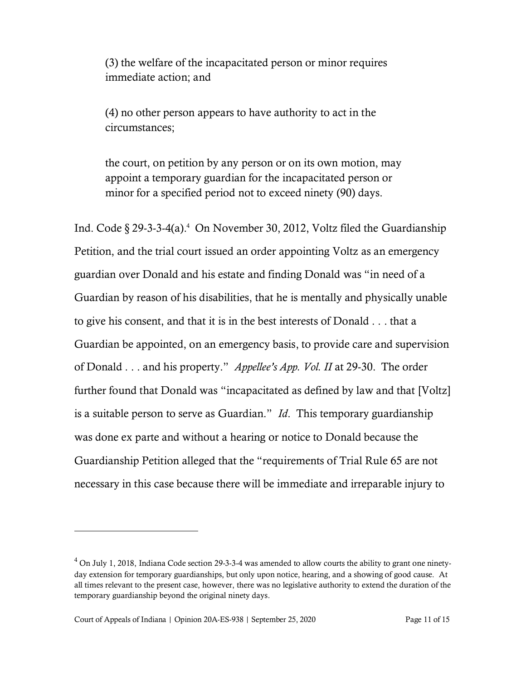(3) the welfare of the incapacitated person or minor requires immediate action; and

(4) no other person appears to have authority to act in the circumstances;

the court, on petition by any person or on its own motion, may appoint a temporary guardian for the incapacitated person or minor for a specified period not to exceed ninety (90) days.

Ind. Code § 29-3-3-4(a). <sup>4</sup> On November 30, 2012, Voltz filed the Guardianship Petition, and the trial court issued an order appointing Voltz as an emergency guardian over Donald and his estate and finding Donald was "in need of a Guardian by reason of his disabilities, that he is mentally and physically unable to give his consent, and that it is in the best interests of Donald . . . that a Guardian be appointed, on an emergency basis, to provide care and supervision of Donald . . . and his property." *Appellee's App. Vol. II* at 29-30. The order further found that Donald was "incapacitated as defined by law and that [Voltz] is a suitable person to serve as Guardian." *Id*. This temporary guardianship was done ex parte and without a hearing or notice to Donald because the Guardianship Petition alleged that the "requirements of Trial Rule 65 are not necessary in this case because there will be immediate and irreparable injury to

<sup>4</sup> On July 1, 2018, Indiana Code section 29-3-3-4 was amended to allow courts the ability to grant one ninetyday extension for temporary guardianships, but only upon notice, hearing, and a showing of good cause. At all times relevant to the present case, however, there was no legislative authority to extend the duration of the temporary guardianship beyond the original ninety days.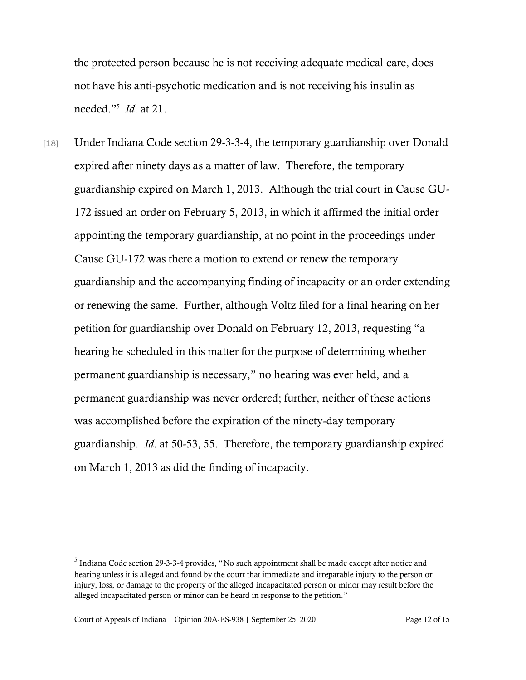the protected person because he is not receiving adequate medical care, does not have his anti-psychotic medication and is not receiving his insulin as needed."<sup>5</sup> *Id*. at 21.

[18] Under Indiana Code section 29-3-3-4, the temporary guardianship over Donald expired after ninety days as a matter of law. Therefore, the temporary guardianship expired on March 1, 2013. Although the trial court in Cause GU-172 issued an order on February 5, 2013, in which it affirmed the initial order appointing the temporary guardianship, at no point in the proceedings under Cause GU-172 was there a motion to extend or renew the temporary guardianship and the accompanying finding of incapacity or an order extending or renewing the same. Further, although Voltz filed for a final hearing on her petition for guardianship over Donald on February 12, 2013, requesting "a hearing be scheduled in this matter for the purpose of determining whether permanent guardianship is necessary," no hearing was ever held, and a permanent guardianship was never ordered; further, neither of these actions was accomplished before the expiration of the ninety-day temporary guardianship. *Id*. at 50-53, 55. Therefore, the temporary guardianship expired on March 1, 2013 as did the finding of incapacity.

 $<sup>5</sup>$  Indiana Code section 29-3-3-4 provides, "No such appointment shall be made except after notice and</sup> hearing unless it is alleged and found by the court that immediate and irreparable injury to the person or injury, loss, or damage to the property of the alleged incapacitated person or minor may result before the alleged incapacitated person or minor can be heard in response to the petition."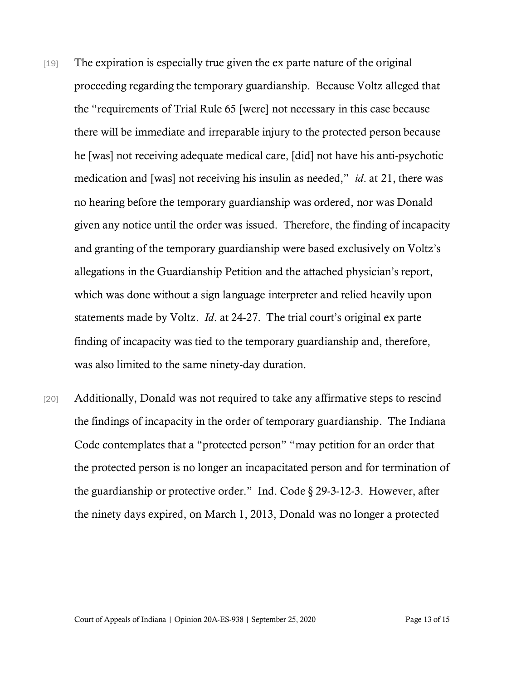- $[19]$  The expiration is especially true given the ex parte nature of the original proceeding regarding the temporary guardianship. Because Voltz alleged that the "requirements of Trial Rule 65 [were] not necessary in this case because there will be immediate and irreparable injury to the protected person because he [was] not receiving adequate medical care, [did] not have his anti-psychotic medication and [was] not receiving his insulin as needed," *id*. at 21, there was no hearing before the temporary guardianship was ordered, nor was Donald given any notice until the order was issued. Therefore, the finding of incapacity and granting of the temporary guardianship were based exclusively on Voltz's allegations in the Guardianship Petition and the attached physician's report, which was done without a sign language interpreter and relied heavily upon statements made by Voltz. *Id*. at 24-27. The trial court's original ex parte finding of incapacity was tied to the temporary guardianship and, therefore, was also limited to the same ninety-day duration.
- [20] Additionally, Donald was not required to take any affirmative steps to rescind the findings of incapacity in the order of temporary guardianship. The Indiana Code contemplates that a "protected person" "may petition for an order that the protected person is no longer an incapacitated person and for termination of the guardianship or protective order." Ind. Code § 29-3-12-3. However, after the ninety days expired, on March 1, 2013, Donald was no longer a protected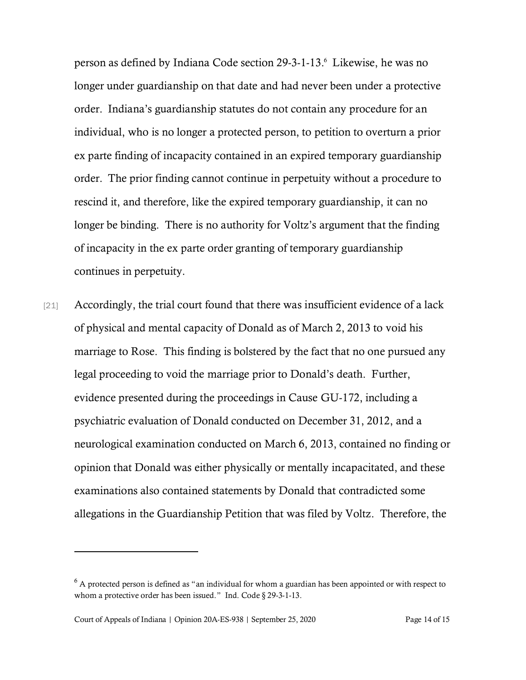person as defined by Indiana Code section 29-3-1-13. <sup>6</sup> Likewise, he was no longer under guardianship on that date and had never been under a protective order. Indiana's guardianship statutes do not contain any procedure for an individual, who is no longer a protected person, to petition to overturn a prior ex parte finding of incapacity contained in an expired temporary guardianship order. The prior finding cannot continue in perpetuity without a procedure to rescind it, and therefore, like the expired temporary guardianship, it can no longer be binding. There is no authority for Voltz's argument that the finding of incapacity in the ex parte order granting of temporary guardianship continues in perpetuity.

[21] Accordingly, the trial court found that there was insufficient evidence of a lack of physical and mental capacity of Donald as of March 2, 2013 to void his marriage to Rose. This finding is bolstered by the fact that no one pursued any legal proceeding to void the marriage prior to Donald's death. Further, evidence presented during the proceedings in Cause GU-172, including a psychiatric evaluation of Donald conducted on December 31, 2012, and a neurological examination conducted on March 6, 2013, contained no finding or opinion that Donald was either physically or mentally incapacitated, and these examinations also contained statements by Donald that contradicted some allegations in the Guardianship Petition that was filed by Voltz. Therefore, the

<sup>6</sup> A protected person is defined as "an individual for whom a guardian has been appointed or with respect to whom a protective order has been issued." Ind. Code § 29-3-1-13.